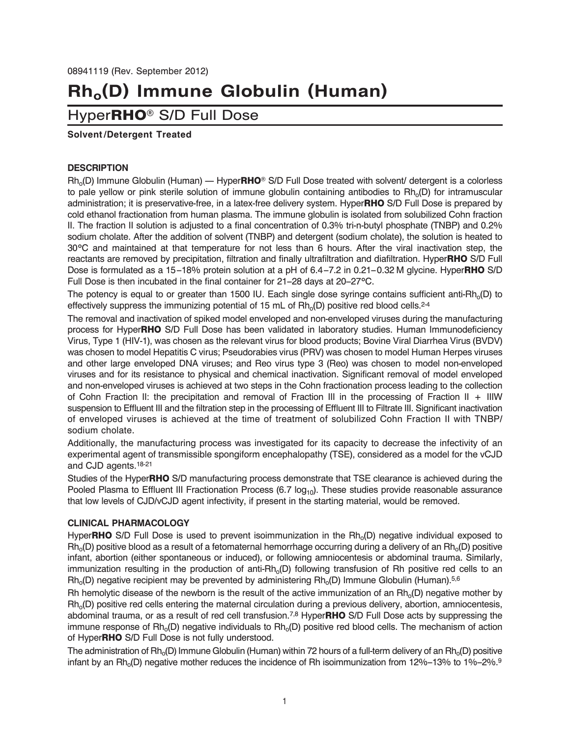# **Rho(D) Immune Globulin (Human)**

## Hyper**RHO®** S/D Full Dose

#### **Solvent/Detergent Treated**

#### **DESCRIPTION**

Rho(D) Immune Globulin (Human) — Hyper**RHO®** S/D Full Dose treated with solvent/ detergent is a colorless to pale yellow or pink sterile solution of immune globulin containing antibodies to Rh<sub>o</sub>(D) for intramuscular administration; it is preservative-free, in a latex-free delivery system. Hyper**RHO** S/D Full Dose is prepared by cold ethanol fractionation from human plasma. The immune globulin is isolated from solubilized Cohn fraction II. The fraction II solution is adjusted to a final concentration of 0.3% tri-n-butyl phosphate (TNBP) and 0.2% sodium cholate. After the addition of solvent (TNBP) and detergent (sodium cholate), the solution is heated to 30°C and maintained at that temperature for not less than 6 hours. After the viral inactivation step, the reactants are removed by precipitation, filtration and finally ultrafiltration and diafiltration. Hyper**RHO** S/D Full Dose is formulated as a 15–18% protein solution at a pH of 6.4–7.2 in 0.21–0.32 M glycine. Hyper**RHO** S/D Full Dose is then incubated in the final container for 21–28 days at 20–27°C.

The potency is equal to or greater than 1500 IU. Each single dose syringe contains sufficient anti-Rh $_0$ (D) to effectively suppress the immunizing potential of 15 mL of  $Rh_0(D)$  positive red blood cells.<sup>2-4</sup>

The removal and inactivation of spiked model enveloped and non-enveloped viruses during the manufacturing process for Hyper**RHO** S/D Full Dose has been validated in laboratory studies. Human Immunodeficiency Virus, Type 1 (HIV-1), was chosen as the relevant virus for blood products; Bovine Viral Diarrhea Virus (BVDV) was chosen to model Hepatitis C virus; Pseudorabies virus (PRV) was chosen to model Human Herpes viruses and other large enveloped DNA viruses; and Reo virus type 3 (Reo) was chosen to model non-enveloped viruses and for its resistance to physical and chemical inactivation. Significant removal of model enveloped and non-enveloped viruses is achieved at two steps in the Cohn fractionation process leading to the collection of Cohn Fraction II: the precipitation and removal of Fraction III in the processing of Fraction II + IIIW suspension to Effluent III and the filtration step in the processing of Effluent III to Filtrate III. Significant inactivation of enveloped viruses is achieved at the time of treatment of solubilized Cohn Fraction II with TNBP/ sodium cholate.

Additionally, the manufacturing process was investigated for its capacity to decrease the infectivity of an experimental agent of transmissible spongiform encephalopathy (TSE), considered as a model for the vCJD and CJD agents.18-21

Studies of the Hyper**RHO** S/D manufacturing process demonstrate that TSE clearance is achieved during the Pooled Plasma to Effluent III Fractionation Process (6.7  $log_{10}$ ). These studies provide reasonable assurance that low levels of CJD/vCJD agent infectivity, if present in the starting material, would be removed.

#### **CLINICAL PHARMACOLOGY**

Hyper**RHO** S/D Full Dose is used to prevent isoimmunization in the Rh<sub>o</sub>(D) negative individual exposed to  $Rh<sub>0</sub>(D)$  positive blood as a result of a fetomaternal hemorrhage occurring during a delivery of an  $Rh<sub>0</sub>(D)$  positive infant, abortion (either spontaneous or induced), or following amniocentesis or abdominal trauma. Similarly, immunization resulting in the production of anti-Rh<sub>o</sub>(D) following transfusion of Rh positive red cells to an  $Rh<sub>0</sub>(D)$  negative recipient may be prevented by administering  $Rh<sub>0</sub>(D)$  Immune Globulin (Human).<sup>5,6</sup>

Rh hemolytic disease of the newborn is the result of the active immunization of an  $Rh_0(D)$  negative mother by  $Rh<sub>0</sub>(D)$  positive red cells entering the maternal circulation during a previous delivery, abortion, amniocentesis, abdominal trauma, or as a result of red cell transfusion.7,8 Hyper**RHO** S/D Full Dose acts by suppressing the immune response of  $\text{Rh}_{o}(D)$  negative individuals to  $\text{Rh}_{o}(D)$  positive red blood cells. The mechanism of action of Hyper**RHO** S/D Full Dose is not fully understood.

The administration of Rh<sub>o</sub>(D) Immune Globulin (Human) within 72 hours of a full-term delivery of an Rh<sub>o</sub>(D) positive infant by an Rh<sub>o</sub>(D) negative mother reduces the incidence of Rh isoimmunization from 12%–13% to 1%–2%.<sup>9</sup>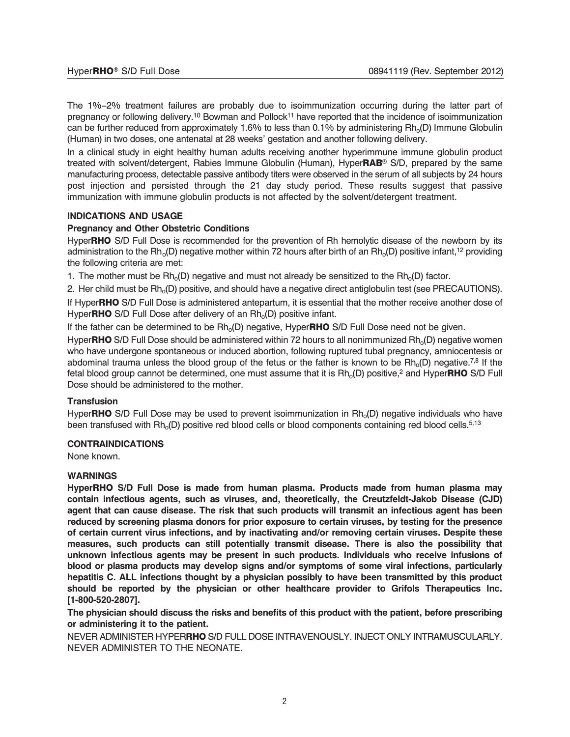The 1%–2% treatment failures are probably due to isoimmunization occurring during the latter part of pregnancy or following delivery.<sup>10</sup> Bowman and Pollock<sup>11</sup> have reported that the incidence of isoimmunization can be further reduced from approximately 1.6% to less than 0.1% by administering Rh<sub>o</sub>(D) Immune Globulin (Human) in two doses, one antenatal at 28 weeks' gestation and another following delivery.

In a clinical study in eight healthy human adults receiving another hyperimmune immune globulin product treated with solvent/detergent, Rabies Immune Globulin (Human), Hyper**RAB®** S/D, prepared by the same manufacturing process, detectable passive antibody titers were observed in the serum of all subjects by 24 hours post injection and persisted through the 21 day study period. These results suggest that passive immunization with immune globulin products is not affected by the solvent/detergent treatment.

#### **INDICATIONS AND USAGE**

#### **Pregnancy and Other Obstetric Conditions**

Hyper**RHO** S/D Full Dose is recommended for the prevention of Rh hemolytic disease of the newborn by its administration to the Rh<sub>o</sub>(D) negative mother within 72 hours after birth of an Rh<sub>o</sub>(D) positive infant,<sup>12</sup> providing the following criteria are met:

1. The mother must be  $\mathsf{Rh}_{0}(D)$  negative and must not already be sensitized to the  $\mathsf{Rh}_{0}(D)$  factor.

2. Her child must be Rh<sub>o</sub>(D) positive, and should have a negative direct antiglobulin test (see PRECAUTIONS).

If Hyper**RHO** S/D Full Dose is administered antepartum, it is essential that the mother receive another dose of Hyper**RHO** S/D Full Dose after delivery of an Rh<sub>o</sub>(D) positive infant.

If the father can be determined to be Rh<sub>o</sub>(D) negative, HyperRHO S/D Full Dose need not be given.

Hyper**RHO** S/D Full Dose should be administered within 72 hours to all nonimmunized Rh<sub>o</sub>(D) negative women who have undergone spontaneous or induced abortion, following ruptured tubal pregnancy, amniocentesis or abdominal trauma unless the blood group of the fetus or the father is known to be  $\text{Rh}_{o}(\text{D})$  negative.<sup>7,8</sup> If the fetal blood group cannot be determined, one must assume that it is Rh<sub>o</sub>(D) positive,<sup>2</sup> and Hyper**RHO** S/D Full Dose should be administered to the mother.

#### **Transfusion**

Hyper**RHO** S/D Full Dose may be used to prevent isoimmunization in Rh<sub>o</sub>(D) negative individuals who have been transfused with Rh<sub>o</sub>(D) positive red blood cells or blood components containing red blood cells.<sup>5,13</sup>

#### **CONTRAINDICATIONS**

None known.

#### **WARNINGS**

**HyperRHO S/D Full Dose is made from human plasma. Products made from human plasma may contain infectious agents, such as viruses, and, theoretically, the Creutzfeldt-Jakob Disease (CJD) agent that can cause disease. The risk that such products will transmit an infectious agent has been reduced by screening plasma donors for prior exposure to certain viruses, by testing for the presence of certain current virus infections, and by inactivating and/or removing certain viruses. Despite these measures, such products can still potentially transmit disease. There is also the possibility that unknown infectious agents may be present in such products. Individuals who receive infusions of blood or plasma products may develop signs and/or symptoms of some viral infections, particularly hepatitis C. ALL infections thought by a physician possibly to have been transmitted by this product should be reported by the physician or other healthcare provider to Grifols Therapeutics Inc. [1-800-520-2807].**

**The physician should discuss the risks and benefits of this product with the patient, before prescribing or administering it to the patient.**

NEVER ADMINISTER HYPER**RHO** S/D FULL DOSE INTRAVENOUSLY. INJECT ONLY INTRAMUSCULARLY. NEVER ADMINISTER TO THE NEONATE.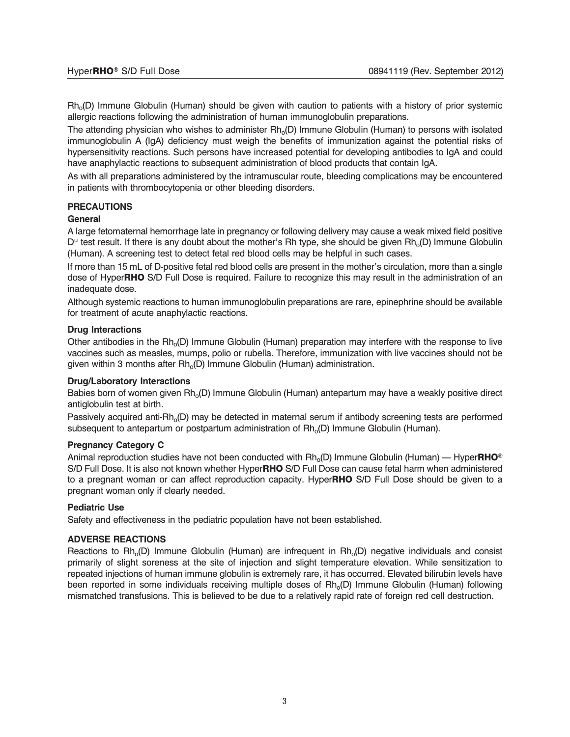$Rh<sub>0</sub>(D)$  Immune Globulin (Human) should be given with caution to patients with a history of prior systemic allergic reactions following the administration of human immunoglobulin preparations.

The attending physician who wishes to administer  $Rh_0(D)$  Immune Globulin (Human) to persons with isolated immunoglobulin A (IgA) deficiency must weigh the benefits of immunization against the potential risks of hypersensitivity reactions. Such persons have increased potential for developing antibodies to IgA and could have anaphylactic reactions to subsequent administration of blood products that contain IgA.

As with all preparations administered by the intramuscular route, bleeding complications may be encountered in patients with thrombocytopenia or other bleeding disorders.

#### **PRECAUTIONS**

#### **General**

A large fetomaternal hemorrhage late in pregnancy or following delivery may cause a weak mixed field positive  $D^u$  test result. If there is any doubt about the mother's Rh type, she should be given Rh<sub>o</sub>(D) Immune Globulin (Human). A screening test to detect fetal red blood cells may be helpful in such cases.

If more than 15 mL of D-positive fetal red blood cells are present in the mother's circulation, more than a single dose of Hyper**RHO** S/D Full Dose is required. Failure to recognize this may result in the administration of an inadequate dose.

Although systemic reactions to human immunoglobulin preparations are rare, epinephrine should be available for treatment of acute anaphylactic reactions.

#### **Drug Interactions**

Other antibodies in the Rh<sub>o</sub>(D) Immune Globulin (Human) preparation may interfere with the response to live vaccines such as measles, mumps, polio or rubella. Therefore, immunization with live vaccines should not be given within 3 months after  $Rh_0(D)$  Immune Globulin (Human) administration.

#### **Drug/Laboratory Interactions**

Babies born of women given Rh<sub>o</sub>(D) Immune Globulin (Human) antepartum may have a weakly positive direct antiglobulin test at birth.

Passively acquired anti-Rh<sub>o</sub>(D) may be detected in maternal serum if antibody screening tests are performed subsequent to antepartum or postpartum administration of  $Rh_0(D)$  Immune Globulin (Human).

#### **Pregnancy Category C**

Animal reproduction studies have not been conducted with Rh<sub>o</sub>(D) Immune Globulin (Human) — Hyper**RHO**<sup>®</sup> S/D Full Dose. It is also not known whether Hyper**RHO** S/D Full Dose can cause fetal harm when administered to a pregnant woman or can affect reproduction capacity. Hyper**RHO** S/D Full Dose should be given to a pregnant woman only if clearly needed.

#### **Pediatric Use**

Safety and effectiveness in the pediatric population have not been established.

#### **ADVERSE REACTIONS**

Reactions to  $Rh_0(D)$  Immune Globulin (Human) are infrequent in  $Rh_0(D)$  negative individuals and consist primarily of slight soreness at the site of injection and slight temperature elevation. While sensitization to repeated injections of human immune globulin is extremely rare, it has occurred. Elevated bilirubin levels have been reported in some individuals receiving multiple doses of  $Rh_0(D)$  Immune Globulin (Human) following mismatched transfusions. This is believed to be due to a relatively rapid rate of foreign red cell destruction.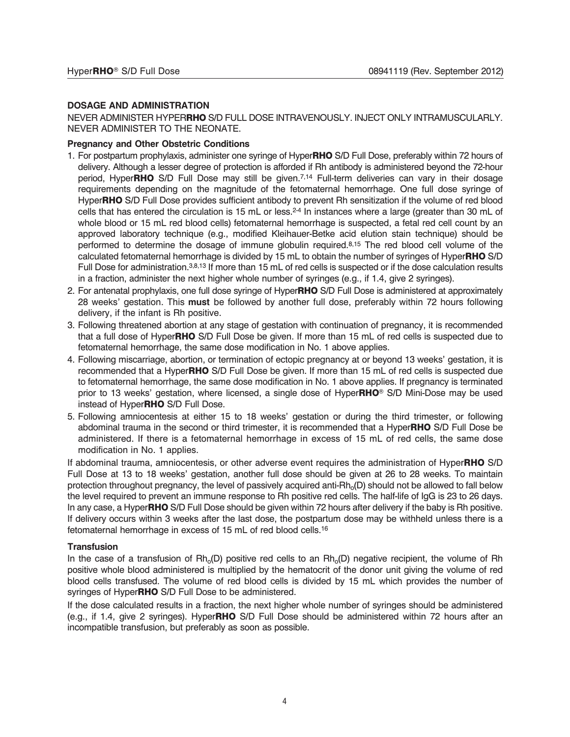#### **DOSAGE AND ADMINISTRATION**

NEVER ADMINISTER HYPER**RHO** S/D FULL DOSE INTRAVENOUSLY. INJECT ONLY INTRAMUSCULARLY. NEVER ADMINISTER TO THE NEONATE.

#### **Pregnancy and Other Obstetric Conditions**

- 1. For postpartum prophylaxis, administer one syringe of Hyper**RHO** S/D Full Dose, preferably within 72 hours of delivery. Although a lesser degree of protection is afforded if Rh antibody is administered beyond the 72-hour period, Hyper**RHO** S/D Full Dose may still be given.7,14 Full-term deliveries can vary in their dosage requirements depending on the magnitude of the fetomaternal hemorrhage. One full dose syringe of Hyper**RHO** S/D Full Dose provides sufficient antibody to prevent Rh sensitization if the volume of red blood cells that has entered the circulation is 15 mL or less.<sup>24</sup> In instances where a large (greater than 30 mL of whole blood or 15 mL red blood cells) fetomaternal hemorrhage is suspected, a fetal red cell count by an approved laboratory technique (e.g., modified Kleihauer-Betke acid elution stain technique) should be performed to determine the dosage of immune globulin required.8,15 The red blood cell volume of the calculated fetomaternal hemorrhage is divided by 15 mL to obtain the number of syringes of Hyper**RHO** S/D Full Dose for administration.<sup>3,8,13</sup> If more than 15 mL of red cells is suspected or if the dose calculation results in a fraction, administer the next higher whole number of syringes (e.g., if 1.4, give 2 syringes).
- 2. For antenatal prophylaxis, one full dose syringe of Hyper**RHO** S/D Full Dose is administered at approximately 28 weeks' gestation. This **must** be followed by another full dose, preferably within 72 hours following delivery, if the infant is Rh positive.
- 3. Following threatened abortion at any stage of gestation with continuation of pregnancy, it is recommended that a full dose of Hyper**RHO** S/D Full Dose be given. If more than 15 mL of red cells is suspected due to fetomaternal hemorrhage, the same dose modification in No. 1 above applies.
- 4. Following miscarriage, abortion, or termination of ectopic pregnancy at or beyond 13 weeks' gestation, it is recommended that a Hyper**RHO** S/D Full Dose be given. If more than 15 mL of red cells is suspected due to fetomaternal hemorrhage, the same dose modification in No. 1 above applies. If pregnancy is terminated prior to 13 weeks' gestation, where licensed, a single dose of Hyper**RHO®** S/D Mini-Dose may be used instead of Hyper**RHO** S/D Full Dose.
- 5. Following amniocentesis at either 15 to 18 weeks' gestation or during the third trimester, or following abdominal trauma in the second or third trimester, it is recommended that a Hyper**RHO** S/D Full Dose be administered. If there is a fetomaternal hemorrhage in excess of 15 mL of red cells, the same dose modification in No. 1 applies.

If abdominal trauma, amniocentesis, or other adverse event requires the administration of Hyper**RHO** S/D Full Dose at 13 to 18 weeks' gestation, another full dose should be given at 26 to 28 weeks. To maintain protection throughout pregnancy, the level of passively acquired anti-Rh<sub>o</sub>(D) should not be allowed to fall below the level required to prevent an immune response to Rh positive red cells. The half-life of IgG is 23 to 26 days. In any case, a Hyper**RHO** S/D Full Dose should be given within 72 hours after delivery if the baby is Rh positive. If delivery occurs within 3 weeks after the last dose, the postpartum dose may be withheld unless there is a fetomaternal hemorrhage in excess of 15 mL of red blood cells.16

#### **Transfusion**

In the case of a transfusion of  $Rh_0(D)$  positive red cells to an  $Rh_0(D)$  negative recipient, the volume of Rh positive whole blood administered is multiplied by the hematocrit of the donor unit giving the volume of red blood cells transfused. The volume of red blood cells is divided by 15 mL which provides the number of syringes of Hyper**RHO** S/D Full Dose to be administered.

If the dose calculated results in a fraction, the next higher whole number of syringes should be administered (e.g., if 1.4, give 2 syringes). Hyper**RHO** S/D Full Dose should be administered within 72 hours after an incompatible transfusion, but preferably as soon as possible.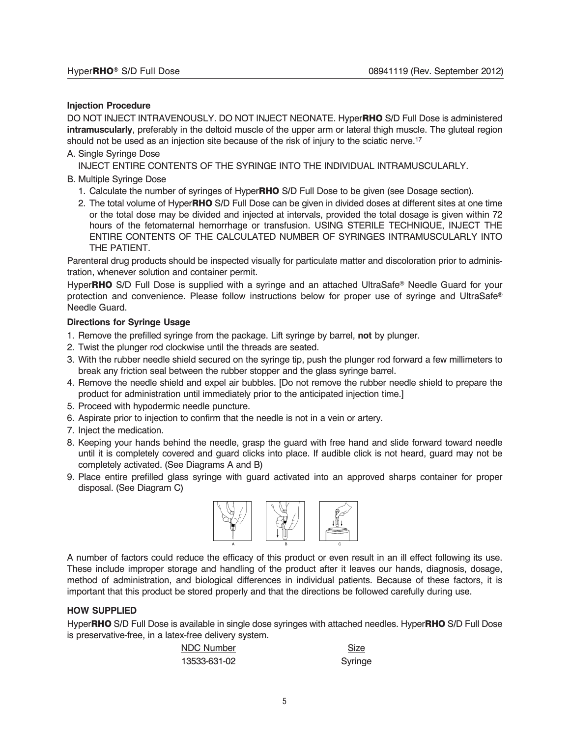#### **Injection Procedure**

DO NOT INJECT INTRAVENOUSLY. DO NOT INJECT NEONATE. Hyper**RHO** S/D Full Dose is administered **intramuscularly**, preferably in the deltoid muscle of the upper arm or lateral thigh muscle. The gluteal region should not be used as an injection site because of the risk of injury to the sciatic nerve.<sup>17</sup>

A. Single Syringe Dose

INJECT ENTIRE CONTENTS OF THE SYRINGE INTO THE INDIVIDUAL INTRAMUSCULARLY.

- B. Multiple Syringe Dose
	- 1. Calculate the number of syringes of Hyper**RHO** S/D Full Dose to be given (see Dosage section).
	- 2. The total volume of Hyper**RHO** S/D Full Dose can be given in divided doses at different sites at one time or the total dose may be divided and injected at intervals, provided the total dosage is given within 72 hours of the fetomaternal hemorrhage or transfusion. USING STERILE TECHNIQUE, INJECT THE ENTIRE CONTENTS OF THE CALCULATED NUMBER OF SYRINGES INTRAMUSCULARLY INTO THE PATIENT.

Parenteral drug products should be inspected visually for particulate matter and discoloration prior to administration, whenever solution and container permit.

Hyper**RHO** S/D Full Dose is supplied with a syringe and an attached UltraSafe® Needle Guard for your protection and convenience. Please follow instructions below for proper use of syringe and UltraSafe® Needle Guard.

#### **Directions for Syringe Usage**

- 1. Remove the prefilled syringe from the package. Lift syringe by barrel, **not** by plunger.
- 2. Twist the plunger rod clockwise until the threads are seated.
- 3. With the rubber needle shield secured on the syringe tip, push the plunger rod forward a few millimeters to break any friction seal between the rubber stopper and the glass syringe barrel.
- 4. Remove the needle shield and expel air bubbles. [Do not remove the rubber needle shield to prepare the product for administration until immediately prior to the anticipated injection time.]
- 5. Proceed with hypodermic needle puncture.
- 6. Aspirate prior to injection to confirm that the needle is not in a vein or artery.
- 7. Inject the medication.
- 8. Keeping your hands behind the needle, grasp the guard with free hand and slide forward toward needle until it is completely covered and guard clicks into place. If audible click is not heard, guard may not be completely activated. (See Diagrams A and B)
- 9. Place entire prefilled glass syringe with guard activated into an approved sharps container for proper disposal. (See Diagram C)



A number of factors could reduce the efficacy of this product or even result in an ill effect following its use. These include improper storage and handling of the product after it leaves our hands, diagnosis, dosage, method of administration, and biological differences in individual patients. Because of these factors, it is important that this product be stored properly and that the directions be followed carefully during use.

#### **HOW SUPPLIED**

Hyper**RHO** S/D Full Dose is available in single dose syringes with attached needles. Hyper**RHO** S/D Full Dose is preservative-free, in a latex-free delivery system.

| NDC Number   | Size    |
|--------------|---------|
| 13533-631-02 | Syringe |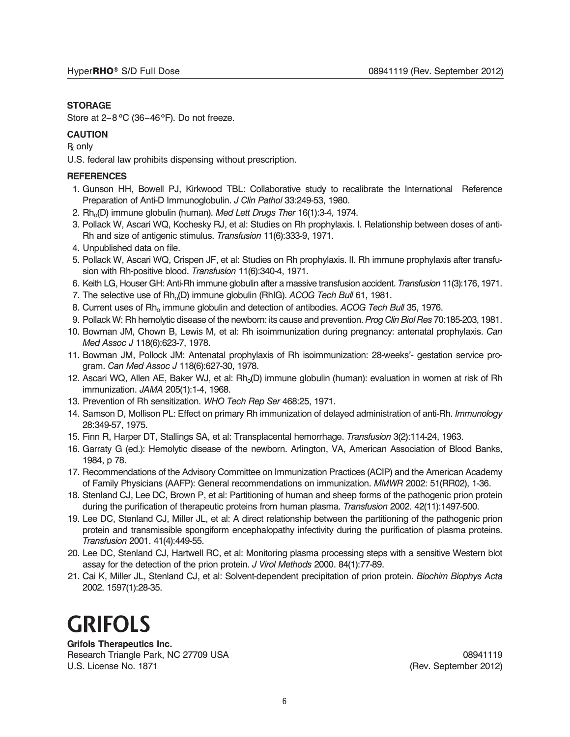#### **STORAGE**

Store at 2–8°C (36–46°F). Do not freeze.

#### **CAUTION**

R<sub>b</sub> only

U.S. federal law prohibits dispensing without prescription.

#### **REFERENCES**

- 1. Gunson HH, Bowell PJ, Kirkwood TBL: Collaborative study to recalibrate the International Reference Preparation of Anti-D Immunoglobulin. *J Clin Pathol* 33:249-53, 1980.
- 2. Rho(D) immune globulin (human). *Med Lett Drugs Ther* 16(1):3-4, 1974.
- 3. Pollack W, Ascari WQ, Kochesky RJ, et al: Studies on Rh prophylaxis. I. Relationship between doses of anti-Rh and size of antigenic stimulus. *Transfusion* 11(6):333-9, 1971.
- 4. Unpublished data on file.
- 5. Pollack W, Ascari WQ, Crispen JF, et al: Studies on Rh prophylaxis. II. Rh immune prophylaxis after transfusion with Rh-positive blood. *Transfusion* 11(6):340-4, 1971.
- 6. Keith LG, Houser GH: Anti-Rh immune globulin after a massive transfusion accident. *Transfusion* 11(3):176, 1971.
- 7. The selective use of Rh<sub>o</sub>(D) immune globulin (RhIG). *ACOG Tech Bull* 61, 1981.
- 8. Current uses of Rho immune globulin and detection of antibodies. *ACOG Tech Bull* 35, 1976.
- 9. Pollack W: Rh hemolytic disease of the newborn: its cause and prevention. *ProgClinBiol Res* 70:185-203, 1981.
- 10. Bowman JM, Chown B, Lewis M, et al: Rh isoimmunization during pregnancy: antenatal prophylaxis. *Can Med Assoc J* 118(6):623-7, 1978.
- 11. Bowman JM, Pollock JM: Antenatal prophylaxis of Rh isoimmunization: 28-weeks'- gestation service program. *Can Med Assoc J* 118(6):627-30, 1978.
- 12. Ascari WQ, Allen AE, Baker WJ, et al: Rh<sub>o</sub>(D) immune globulin (human): evaluation in women at risk of Rh immunization. *JAMA* 205(1):1-4, 1968.
- 13. Prevention of Rh sensitization. *WHO Tech Rep Ser* 468:25, 1971.
- 14. Samson D, Mollison PL: Effect on primary Rh immunization of delayed administration of anti-Rh. *Immunology* 28:349-57, 1975.
- 15. Finn R, Harper DT, Stallings SA, et al: Transplacental hemorrhage. *Transfusion* 3(2):114-24, 1963.
- 16. Garraty G (ed.): Hemolytic disease of the newborn. Arlington, VA, American Association of Blood Banks, 1984, p 78.
- 17. Recommendations of the Advisory Committee on Immunization Practices (ACIP) and the American Academy of Family Physicians (AAFP): General recommendations on immunization. *MMWR* 2002: 51(RR02), 1-36.
- 18. Stenland CJ, Lee DC, Brown P, et al: Partitioning of human and sheep forms of the pathogenic prion protein during the purification of therapeutic proteins from human plasma. *Transfusion* 2002. 42(11):1497-500.
- 19. Lee DC, Stenland CJ, Miller JL, et al: A direct relationship between the partitioning of the pathogenic prion protein and transmissible spongiform encephalopathy infectivity during the purification of plasma proteins. *Transfusion* 2001. 41(4):449-55.
- 20. Lee DC, Stenland CJ, Hartwell RC, et al: Monitoring plasma processing steps with a sensitive Western blot assay for the detection of the prion protein. *J Virol Methods* 2000. 84(1):77-89.
- 21. Cai K, Miller JL, Stenland CJ, et al: Solvent-dependent precipitation of prion protein. *Biochim Biophys Acta* 2002. 1597(1):28-35.

# **GRIFOLS**

**Grifols Therapeutics Inc.** Research Triangle Park, NC 27709 USA 08941119

U.S. License No. 1871 **(Rev. September 2012)** U.S. License No. 1871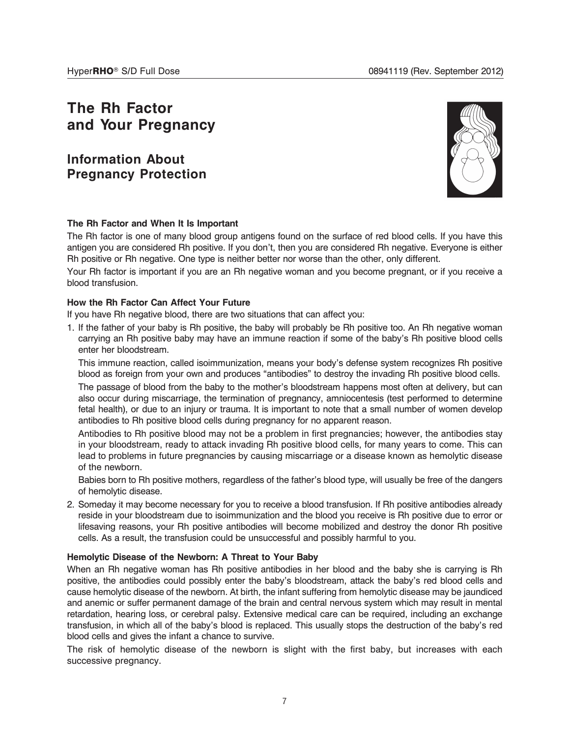# **The Rh Factor and Your Pregnancy**

**Information About Pregnancy Protection**



#### **The Rh Factor and When It Is Important**

The Rh factor is one of many blood group antigens found on the surface of red blood cells. If you have this antigen you are considered Rh positive. If you don't, then you are considered Rh negative. Everyone is either Rh positive or Rh negative. One type is neither better nor worse than the other, only different.

Your Rh factor is important if you are an Rh negative woman and you become pregnant, or if you receive a blood transfusion.

#### **How the Rh Factor Can Affect Your Future**

If you have Rh negative blood, there are two situations that can affect you:

1. If the father of your baby is Rh positive, the baby will probably be Rh positive too. An Rh negative woman carrying an Rh positive baby may have an immune reaction if some of the baby's Rh positive blood cells enter her bloodstream.

This immune reaction, called isoimmunization, means your body's defense system recognizes Rh positive blood as foreign from your own and produces "antibodies" to destroy the invading Rh positive blood cells.

The passage of blood from the baby to the mother's bloodstream happens most often at delivery, but can also occur during miscarriage, the termination of pregnancy, amniocentesis (test performed to determine fetal health), or due to an injury or trauma. It is important to note that a small number of women develop antibodies to Rh positive blood cells during pregnancy for no apparent reason.

Antibodies to Rh positive blood may not be a problem in first pregnancies; however, the antibodies stay in your bloodstream, ready to attack invading Rh positive blood cells, for many years to come. This can lead to problems in future pregnancies by causing miscarriage or a disease known as hemolytic disease of the newborn.

Babies born to Rh positive mothers, regardless of the father's blood type, will usually be free of the dangers of hemolytic disease.

2. Someday it may become necessary for you to receive a blood transfusion. If Rh positive antibodies already reside in your bloodstream due to isoimmunization and the blood you receive is Rh positive due to error or lifesaving reasons, your Rh positive antibodies will become mobilized and destroy the donor Rh positive cells. As a result, the transfusion could be unsuccessful and possibly harmful to you.

#### **Hemolytic Disease of the Newborn: A Threat to Your Baby**

When an Rh negative woman has Rh positive antibodies in her blood and the baby she is carrying is Rh positive, the antibodies could possibly enter the baby's bloodstream, attack the baby's red blood cells and cause hemolytic disease of the newborn. At birth, the infant suffering from hemolytic disease may be jaundiced and anemic or suffer permanent damage of the brain and central nervous system which may result in mental retardation, hearing loss, or cerebral palsy. Extensive medical care can be required, including an exchange transfusion, in which all of the baby's blood is replaced. This usually stops the destruction of the baby's red blood cells and gives the infant a chance to survive.

The risk of hemolytic disease of the newborn is slight with the first baby, but increases with each successive pregnancy.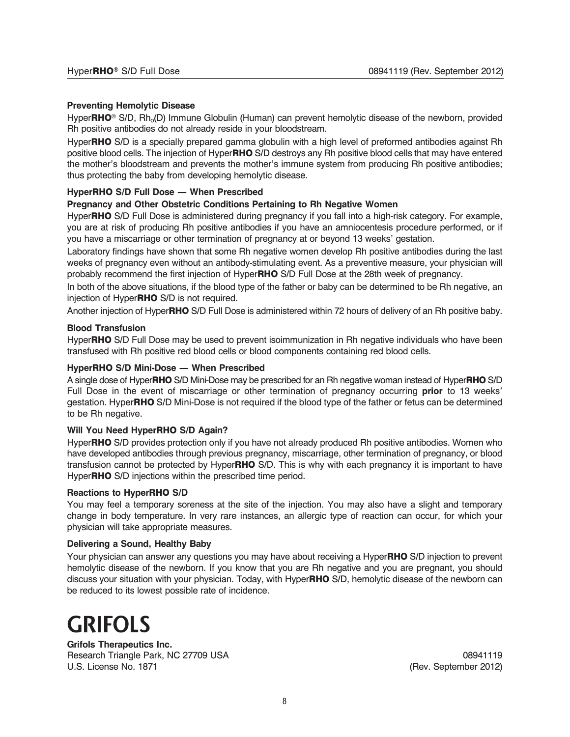#### **Preventing Hemolytic Disease**

Hyper**RHO**<sup>®</sup> S/D, Rh<sub>o</sub>(D) Immune Globulin (Human) can prevent hemolytic disease of the newborn, provided Rh positive antibodies do not already reside in your bloodstream.

Hyper**RHO** S/D is a specially prepared gamma globulin with a high level of preformed antibodies against Rh positive blood cells. The injection of Hyper**RHO** S/D destroys any Rh positive blood cells that may have entered the mother's bloodstream and prevents the mother's immune system from producing Rh positive antibodies; thus protecting the baby from developing hemolytic disease.

#### **HyperRHO S/D Full Dose — When Prescribed**

#### **Pregnancy and Other Obstetric Conditions Pertaining to Rh Negative Women**

Hyper**RHO** S/D Full Dose is administered during pregnancy if you fall into a high-risk category. For example, you are at risk of producing Rh positive antibodies if you have an amniocentesis procedure performed, or if you have a miscarriage or other termination of pregnancy at or beyond 13 weeks' gestation.

Laboratory findings have shown that some Rh negative women develop Rh positive antibodies during the last weeks of pregnancy even without an antibody-stimulating event. As a preventive measure, your physician will probably recommend the first injection of Hyper**RHO** S/D Full Dose at the 28th week of pregnancy.

In both of the above situations, if the blood type of the father or baby can be determined to be Rh negative, an injection of Hyper**RHO** S/D is not required.

Another injection of Hyper**RHO** S/D Full Dose is administered within 72 hours of delivery of an Rh positive baby.

#### **Blood Transfusion**

Hyper**RHO** S/D Full Dose may be used to prevent isoimmunization in Rh negative individuals who have been transfused with Rh positive red blood cells or blood components containing red blood cells.

#### **HyperRHO S/D Mini-Dose — When Prescribed**

A single dose of Hyper**RHO** S/D Mini-Dose may be prescribed for an Rh negative woman instead of Hyper**RHO** S/D Full Dose in the event of miscarriage or other termination of pregnancy occurring **prior** to 13 weeks' gestation. Hyper**RHO** S/D Mini-Dose is not required if the blood type of the father or fetus can be determined to be Rh negative.

#### **Will You Need HyperRHO S/D Again?**

Hyper**RHO** S/D provides protection only if you have not already produced Rh positive antibodies. Women who have developed antibodies through previous pregnancy, miscarriage, other termination of pregnancy, or blood transfusion cannot be protected by Hyper**RHO** S/D. This is why with each pregnancy it is important to have Hyper**RHO** S/D injections within the prescribed time period.

#### **Reactions to HyperRHO S/D**

You may feel a temporary soreness at the site of the injection. You may also have a slight and temporary change in body temperature. In very rare instances, an allergic type of reaction can occur, for which your physician will take appropriate measures.

#### **Delivering a Sound, Healthy Baby**

Your physician can answer any questions you may have about receiving a Hyper**RHO** S/D injection to prevent hemolytic disease of the newborn. If you know that you are Rh negative and you are pregnant, you should discuss your situation with your physician. Today, with Hyper**RHO** S/D, hemolytic disease of the newborn can be reduced to its lowest possible rate of incidence.

# **GRIFOLS**

**Grifols Therapeutics Inc.** Research Triangle Park, NC 27709 USA 08941119 U.S. License No. 1871 **(Rev. September 2012)** (Rev. September 2012)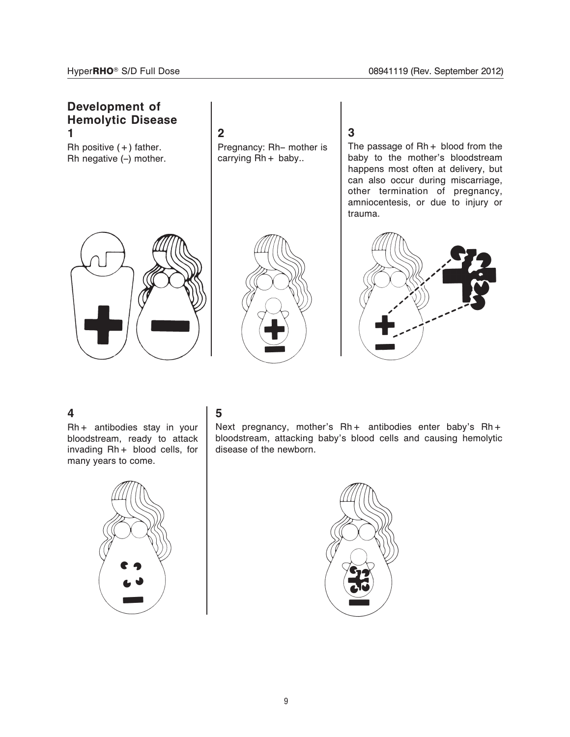

### **4**

Rh+ antibodies stay in your bloodstream, ready to attack invading Rh+ blood cells, for many years to come.



## **5**

Next pregnancy, mother's Rh+ antibodies enter baby's Rh+ bloodstream, attacking baby's blood cells and causing hemolytic disease of the newborn.